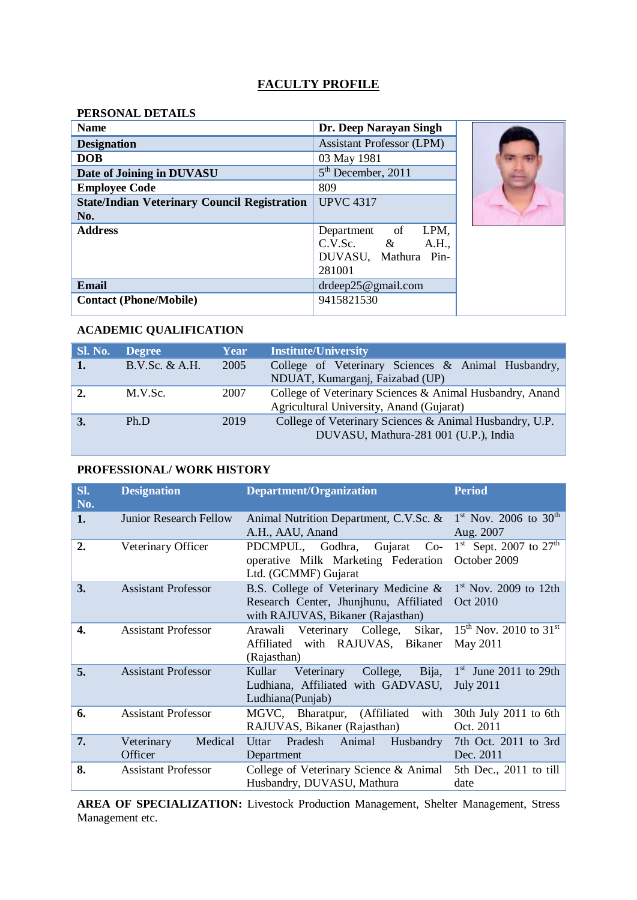# **FACULTY PROFILE**

## **PERSONAL DETAILS**

| <b>Name</b>                                         | Dr. Deep Narayan Singh           |  |
|-----------------------------------------------------|----------------------------------|--|
| <b>Designation</b>                                  | <b>Assistant Professor (LPM)</b> |  |
| <b>DOB</b>                                          | 03 May 1981                      |  |
| Date of Joining in DUVASU                           | $5th$ December, 2011             |  |
| <b>Employee Code</b>                                | 809                              |  |
| <b>State/Indian Veterinary Council Registration</b> | <b>UPVC 4317</b>                 |  |
| No.                                                 |                                  |  |
| <b>Address</b>                                      | Department of LPM,               |  |
|                                                     | $C.V.Sc.$ &<br>A.H.,             |  |
|                                                     | DUVASU, Mathura Pin-             |  |
|                                                     | 281001                           |  |
| <b>Email</b>                                        | drdeep25@gmail.com               |  |
| <b>Contact (Phone/Mobile)</b>                       | 9415821530                       |  |

# **ACADEMIC QUALIFICATION**

| Sl. No.        | <b>Degree</b>  | Year | <b>Institute/University</b>                                                                          |
|----------------|----------------|------|------------------------------------------------------------------------------------------------------|
| $\mathbf{1}$ . | B.V.Sc. & A.H. | 2005 | College of Veterinary Sciences & Animal Husbandry,<br>NDUAT, Kumarganj, Faizabad (UP)                |
| 2.             | M.V.Sc.        | 2007 | College of Veterinary Sciences & Animal Husbandry, Anand<br>Agricultural University, Anand (Gujarat) |
| 3.             | Ph.D           | 2019 | College of Veterinary Sciences & Animal Husbandry, U.P.<br>DUVASU, Mathura-281 001 (U.P.), India     |

### **PROFESSIONAL/ WORK HISTORY**

| SI.<br>No. | <b>Designation</b>               | <b>Department/Organization</b>                                                                                       | <b>Period</b>                                    |
|------------|----------------------------------|----------------------------------------------------------------------------------------------------------------------|--------------------------------------------------|
| 1.         | <b>Junior Research Fellow</b>    | Animal Nutrition Department, C.V.Sc. &<br>A.H., AAU, Anand                                                           | $1st$ Nov. 2006 to 30 <sup>th</sup><br>Aug. 2007 |
| 2.         | Veterinary Officer               | PDCMPUL, Godhra, Gujarat Co-<br>operative Milk Marketing Federation<br>Ltd. (GCMMF) Gujarat                          | $1^{st}$ Sept. 2007 to $27^{th}$<br>October 2009 |
| 3.         | <b>Assistant Professor</b>       | B.S. College of Veterinary Medicine &<br>Research Center, Jhunjhunu, Affiliated<br>with RAJUVAS, Bikaner (Rajasthan) | $1st$ Nov. 2009 to 12th<br>Oct 2010              |
| 4.         | <b>Assistant Professor</b>       | Arawali Veterinary College, Sikar,<br>Affiliated with RAJUVAS, Bikaner<br>(Rajasthan)                                | $15^{th}$ Nov. 2010 to $31^{st}$<br>May 2011     |
| 5.         | <b>Assistant Professor</b>       | Kullar Veterinary<br>College,<br>Bija,<br>Ludhiana, Affiliated with GADVASU,<br>Ludhiana(Punjab)                     | $1st$ June 2011 to 29th<br><b>July 2011</b>      |
| 6.         | <b>Assistant Professor</b>       | MGVC, Bharatpur, (Affiliated with<br>RAJUVAS, Bikaner (Rajasthan)                                                    | 30th July 2011 to 6th<br>Oct. 2011               |
| 7.         | Veterinary<br>Medical<br>Officer | Pradesh<br>Animal<br>Uttar<br>Husbandry<br>Department                                                                | 7th Oct. 2011 to 3rd<br>Dec. 2011                |
| 8.         | <b>Assistant Professor</b>       | College of Veterinary Science & Animal<br>Husbandry, DUVASU, Mathura                                                 | 5th Dec., 2011 to till<br>date                   |

**AREA OF SPECIALIZATION:** Livestock Production Management, Shelter Management, Stress Management etc.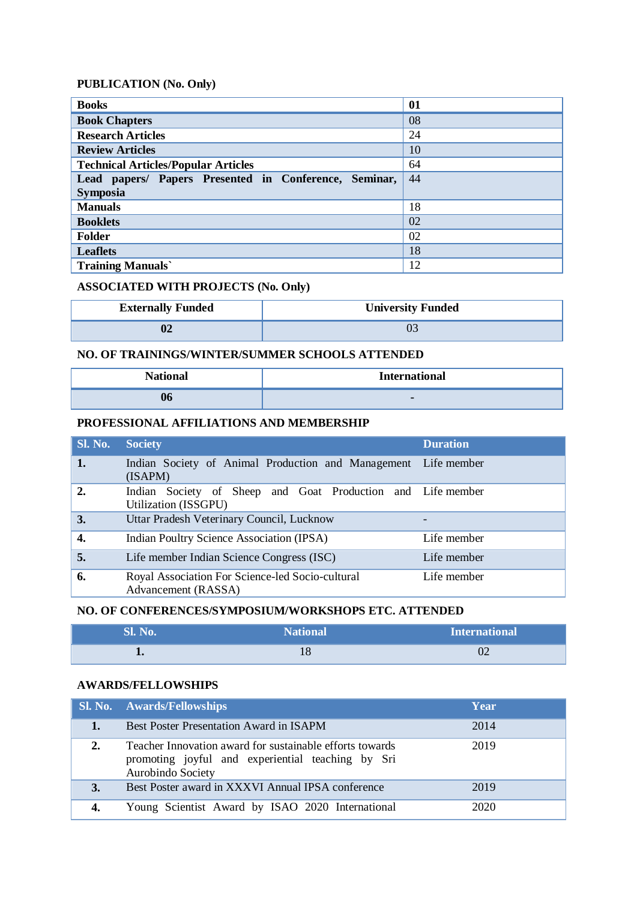# **PUBLICATION (No. Only)**

| <b>Books</b>                                          | 01 |
|-------------------------------------------------------|----|
| <b>Book Chapters</b>                                  | 08 |
| <b>Research Articles</b>                              | 24 |
| <b>Review Articles</b>                                | 10 |
| <b>Technical Articles/Popular Articles</b>            | 64 |
| Lead papers/ Papers Presented in Conference, Seminar, | 44 |
| <b>Symposia</b>                                       |    |
| <b>Manuals</b>                                        | 18 |
| <b>Booklets</b>                                       | 02 |
| <b>Folder</b>                                         | 02 |
| <b>Leaflets</b>                                       | 18 |
| <b>Training Manuals</b>                               | 12 |

#### **ASSOCIATED WITH PROJECTS (No. Only)**

| <b>Externally Funded</b> | <b>University Funded</b> |
|--------------------------|--------------------------|
|                          |                          |

#### **NO. OF TRAININGS/WINTER/SUMMER SCHOOLS ATTENDED**

| <b>National</b> | <b>International</b> |
|-----------------|----------------------|
| U0              | $\blacksquare$       |

## **PROFESSIONAL AFFILIATIONS AND MEMBERSHIP**

| <b>Sl. No.</b>   | <b>Society</b>                                                                      | <b>Duration</b> |
|------------------|-------------------------------------------------------------------------------------|-----------------|
| 1.               | Indian Society of Animal Production and Management Life member<br>(ISAPM)           |                 |
| $\overline{2}$ . | Indian Society of Sheep and Goat Production and Life member<br>Utilization (ISSGPU) |                 |
| 3.               | Uttar Pradesh Veterinary Council, Lucknow                                           |                 |
| 4.               | Indian Poultry Science Association (IPSA)                                           | Life member     |
| 5.               | Life member Indian Science Congress (ISC)                                           | Life member     |
| 6.               | Royal Association For Science-led Socio-cultural<br>Advancement (RASSA)             | Life member     |

### **NO. OF CONFERENCES/SYMPOSIUM/WORKSHOPS ETC. ATTENDED**

| <b>Sl. No.</b> | <b>National</b> | <b>International</b> |
|----------------|-----------------|----------------------|
|                |                 | $U\angle$            |

### **AWARDS/FELLOWSHIPS**

|    | <b>Sl. No.</b> Awards/Fellowships                                                                                                  | Year |
|----|------------------------------------------------------------------------------------------------------------------------------------|------|
|    | <b>Best Poster Presentation Award in ISAPM</b>                                                                                     | 2014 |
| 2. | Teacher Innovation award for sustainable efforts towards<br>promoting joyful and experiential teaching by Sri<br>Aurobindo Society | 2019 |
| 3. | Best Poster award in XXXVI Annual IPSA conference                                                                                  | 2019 |
| 4. | Young Scientist Award by ISAO 2020 International                                                                                   | 2020 |